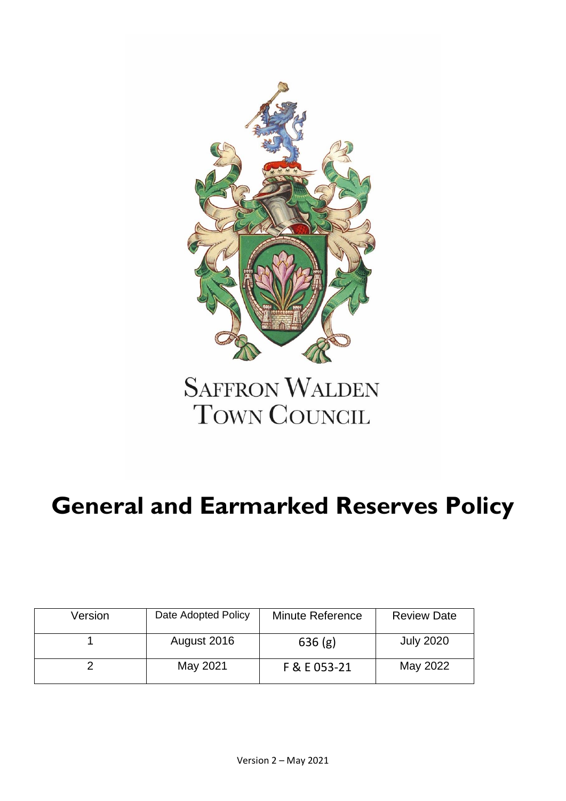

# **SAFFRON WALDEN TOWN COUNCIL**

## **General and Earmarked Reserves Policy**

| Version | Date Adopted Policy | <b>Minute Reference</b> | <b>Review Date</b> |
|---------|---------------------|-------------------------|--------------------|
|         | August 2016         | 636(g)                  | <b>July 2020</b>   |
|         | May 2021            | F & E 053-21            | May 2022           |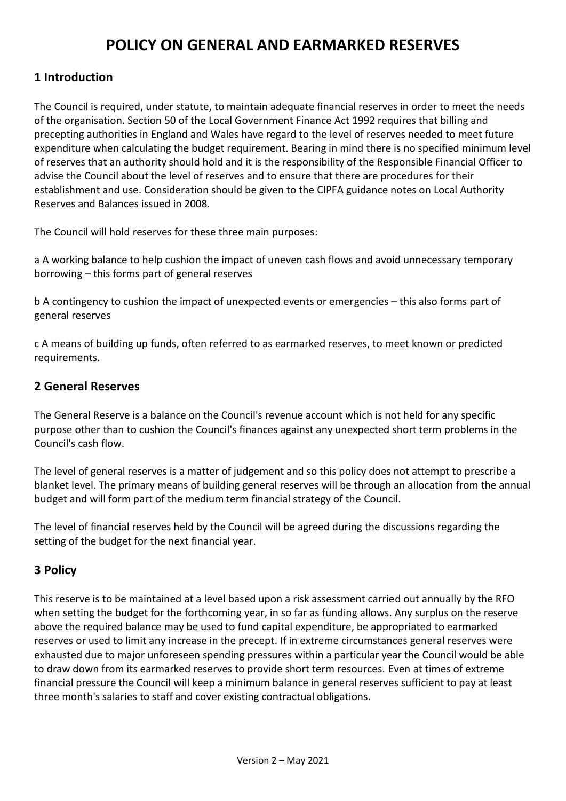### **POLICY ON GENERAL AND EARMARKED RESERVES**

#### **1 Introduction**

The Council is required, under statute, to maintain adequate financial reserves in order to meet the needs of the organisation. Section 50 of the Local Government Finance Act 1992 requires that billing and precepting authorities in England and Wales have regard to the level of reserves needed to meet future expenditure when calculating the budget requirement. Bearing in mind there is no specified minimum level of reserves that an authority should hold and it is the responsibility of the Responsible Financial Officer to advise the Council about the level of reserves and to ensure that there are procedures for their establishment and use. Consideration should be given to the CIPFA guidance notes on Local Authority Reserves and Balances issued in 2008.

The Council will hold reserves for these three main purposes:

a A working balance to help cushion the impact of uneven cash flows and avoid unnecessary temporary borrowing – this forms part of general reserves

b A contingency to cushion the impact of unexpected events or emergencies – this also forms part of general reserves

c A means of building up funds, often referred to as earmarked reserves, to meet known or predicted requirements.

#### **2 General Reserves**

The General Reserve is a balance on the Council's revenue account which is not held for any specific purpose other than to cushion the Council's finances against any unexpected short term problems in the Council's cash flow.

The level of general reserves is a matter of judgement and so this policy does not attempt to prescribe a blanket level. The primary means of building general reserves will be through an allocation from the annual budget and will form part of the medium term financial strategy of the Council.

The level of financial reserves held by the Council will be agreed during the discussions regarding the setting of the budget for the next financial year.

#### **3 Policy**

This reserve is to be maintained at a level based upon a risk assessment carried out annually by the RFO when setting the budget for the forthcoming year, in so far as funding allows. Any surplus on the reserve above the required balance may be used to fund capital expenditure, be appropriated to earmarked reserves or used to limit any increase in the precept. If in extreme circumstances general reserves were exhausted due to major unforeseen spending pressures within a particular year the Council would be able to draw down from its earmarked reserves to provide short term resources. Even at times of extreme financial pressure the Council will keep a minimum balance in general reserves sufficient to pay at least three month's salaries to staff and cover existing contractual obligations.